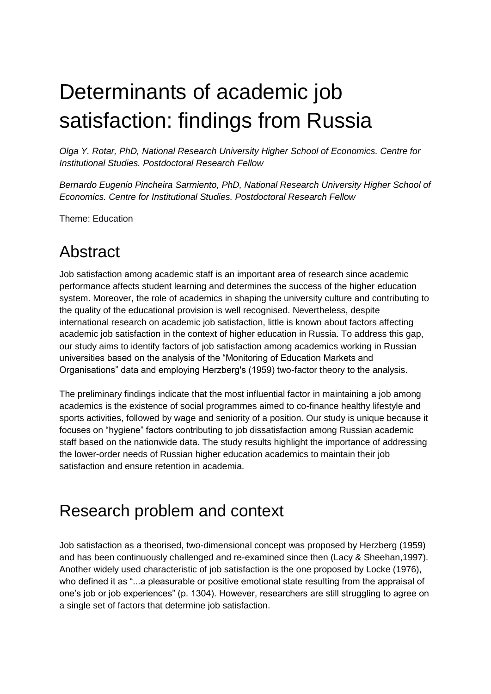# Determinants of academic job satisfaction: findings from Russia

*Olga Y. Rotar, PhD, National Research University Higher School of Economics. Centre for Institutional Studies. Postdoctoral Research Fellow*

*Bernardo Eugenio Pincheira Sarmiento, PhD, National Research University Higher School of Economics. Centre for Institutional Studies. Postdoctoral Research Fellow*

Theme: Education

#### Abstract

Job satisfaction among academic staff is an important area of research since academic performance affects student learning and determines the success of the higher education system. Moreover, the role of academics in shaping the university culture and contributing to the quality of the educational provision is well recognised. Nevertheless, despite international research on academic job satisfaction, little is known about factors affecting academic job satisfaction in the context of higher education in Russia. To address this gap, our study aims to identify factors of job satisfaction among academics working in Russian universities based on the analysis of the "Monitoring of Education Markets and Organisations" data and employing Herzberg's (1959) two-factor theory to the analysis.

The preliminary findings indicate that the most influential factor in maintaining a job among academics is the existence of social programmes aimed to co-finance healthy lifestyle and sports activities, followed by wage and seniority of a position. Our study is unique because it focuses on "hygiene" factors contributing to job dissatisfaction among Russian academic staff based on the nationwide data. The study results highlight the importance of addressing the lower-order needs of Russian higher education academics to maintain their job satisfaction and ensure retention in academia.

## Research problem and context

Job satisfaction as a theorised, two-dimensional concept was proposed by Herzberg (1959) and has been continuously challenged and re-examined since then (Lacy & Sheehan,1997). Another widely used characteristic of job satisfaction is the one proposed by Locke (1976), who defined it as "...a pleasurable or positive emotional state resulting from the appraisal of one's job or job experiences" (p. 1304). However, researchers are still struggling to agree on a single set of factors that determine job satisfaction.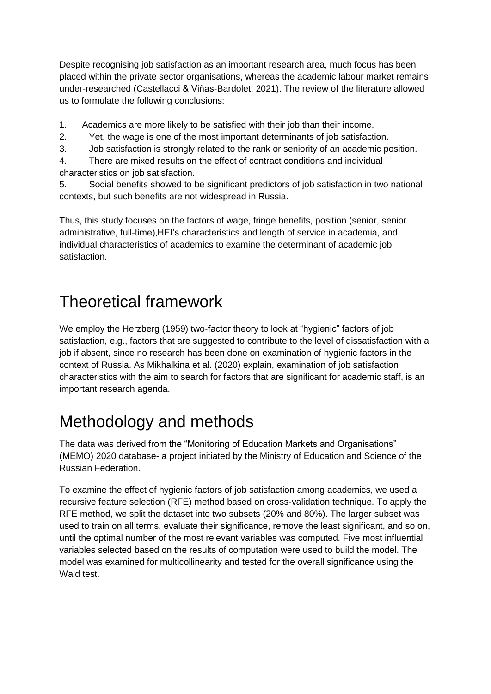Despite recognising job satisfaction as an important research area, much focus has been placed within the private sector organisations, whereas the academic labour market remains under-researched (Castellacci & Viñas-Bardolet, 2021). The review of the literature allowed us to formulate the following conclusions:

1. Academics are more likely to be satisfied with their job than their income.

- 2. Yet, the wage is one of the most important determinants of job satisfaction.
- 3. Job satisfaction is strongly related to the rank or seniority of an academic position.

4. There are mixed results on the effect of contract conditions and individual characteristics on job satisfaction.

5. Social benefits showed to be significant predictors of job satisfaction in two national contexts, but such benefits are not widespread in Russia.

Thus, this study focuses on the factors of wage, fringe benefits, position (senior, senior administrative, full-time),HEI's characteristics and length of service in academia, and individual characteristics of academics to examine the determinant of academic job satisfaction.

## Theoretical framework

We employ the Herzberg (1959) two-factor theory to look at "hygienic" factors of job satisfaction, e.g., factors that are suggested to contribute to the level of dissatisfaction with a job if absent, since no research has been done on examination of hygienic factors in the context of Russia. As Mikhalkina et al. (2020) explain, examination of job satisfaction characteristics with the aim to search for factors that are significant for academic staff, is an important research agenda.

# Methodology and methods

The data was derived from the "Monitoring of Education Markets and Organisations" (MEMO) 2020 database- a project initiated by the Ministry of Education and Science of the Russian Federation.

To examine the effect of hygienic factors of job satisfaction among academics, we used a recursive feature selection (RFE) method based on cross-validation technique. To apply the RFE method, we split the dataset into two subsets (20% and 80%). The larger subset was used to train on all terms, evaluate their significance, remove the least significant, and so on, until the optimal number of the most relevant variables was computed. Five most influential variables selected based on the results of computation were used to build the model. The model was examined for multicollinearity and tested for the overall significance using the Wald test.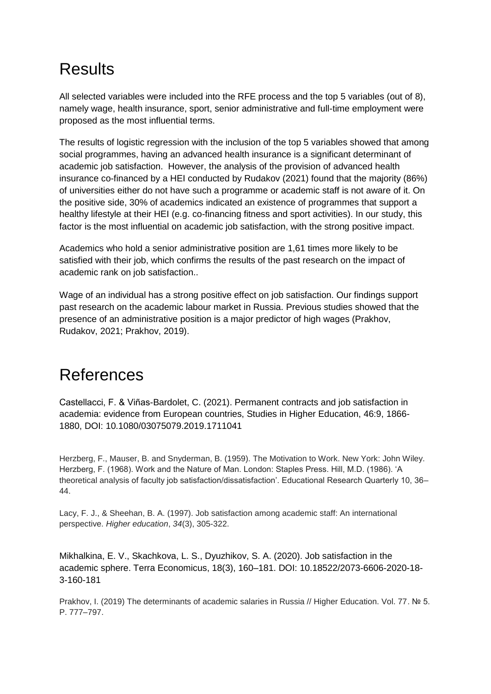# Results

All selected variables were included into the RFE process and the top 5 variables (out of 8), namely wage, health insurance, sport, senior administrative and full-time employment were proposed as the most influential terms.

The results of logistic regression with the inclusion of the top 5 variables showed that among social programmes, having an advanced health insurance is a significant determinant of academic job satisfaction. However, the analysis of the provision of advanced health insurance co-financed by a HEI conducted by Rudakov (2021) found that the majority (86%) of universities either do not have such a programme or academic staff is not aware of it. On the positive side, 30% of academics indicated an existence of programmes that support a healthy lifestyle at their HEI (e.g. co-financing fitness and sport activities). In our study, this factor is the most influential on academic job satisfaction, with the strong positive impact.

Academics who hold a senior administrative position are 1,61 times more likely to be satisfied with their job, which confirms the results of the past research on the impact of academic rank on job satisfaction..

Wage of an individual has a strong positive effect on job satisfaction. Our findings support past research on the academic labour market in Russia. Previous studies showed that the presence of an administrative position is a major predictor of high wages (Prakhov, Rudakov, 2021; Prakhov, 2019).

## References

Castellacci, F. & Viñas-Bardolet, C. (2021). Permanent contracts and job satisfaction in academia: evidence from European countries, Studies in Higher Education, 46:9, 1866- 1880, DOI: 10.1080/03075079.2019.1711041

Herzberg, F., Mauser, B. and Snyderman, B. (1959). The Motivation to Work. New York: John Wiley. Herzberg, F. (1968). Work and the Nature of Man. London: Staples Press. Hill, M.D. (1986). 'A theoretical analysis of faculty job satisfaction/dissatisfaction'. Educational Research Quarterly 10, 36– 44.

Lacy, F. J., & Sheehan, B. A. (1997). Job satisfaction among academic staff: An international perspective. *Higher education*, *34*(3), 305-322.

Mikhalkina, E. V., Skachkova, L. S., Dyuzhikov, S. A. (2020). Job satisfaction in the academic sphere. Terra Economicus, 18(3), 160–181. DOI: 10.18522/2073-6606-2020-18- 3-160-181

Prakhov, I. (2019) The determinants of academic salaries in Russia // Higher Education. Vol. 77. № 5. P. 777–797.